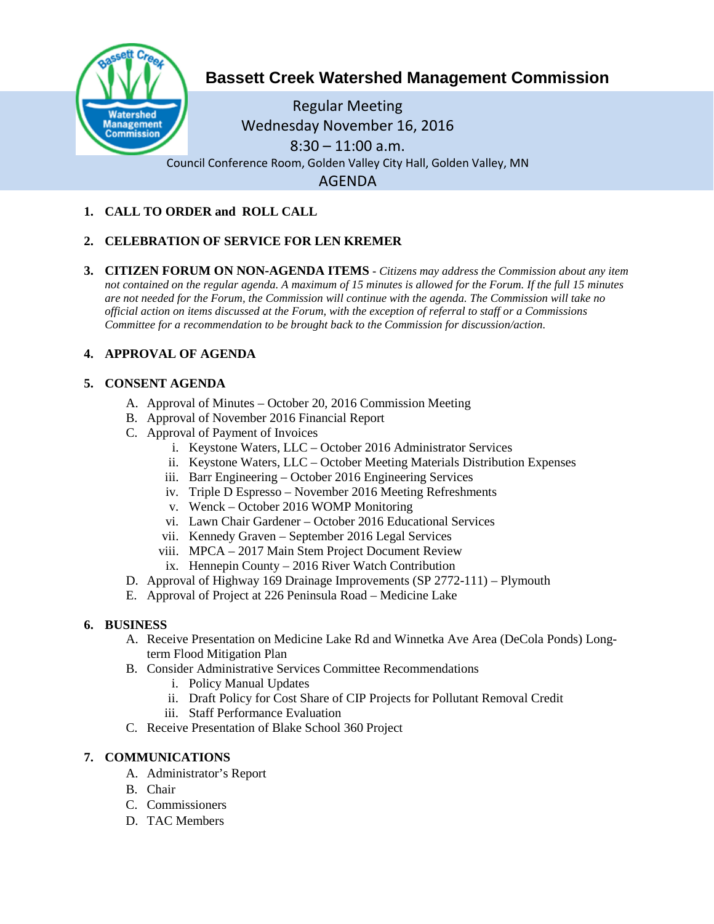

# **Bassett Creek Watershed Management Commission**

Regular Meeting Wednesday November 16, 2016  $8:30 - 11:00$  a.m. Council Conference Room, Golden Valley City Hall, Golden Valley, MN AGENDA

## **1. CALL TO ORDER and ROLL CALL**

## **2. CELEBRATION OF SERVICE FOR LEN KREMER**

**3. CITIZEN FORUM ON NON-AGENDA ITEMS -** *Citizens may address the Commission about any item not contained on the regular agenda. A maximum of 15 minutes is allowed for the Forum. If the full 15 minutes are not needed for the Forum, the Commission will continue with the agenda. The Commission will take no official action on items discussed at the Forum, with the exception of referral to staff or a Commissions Committee for a recommendation to be brought back to the Commission for discussion/action.*

## **4. APPROVAL OF AGENDA**

#### **5. CONSENT AGENDA**

- A. Approval of Minutes October 20, 2016 Commission Meeting
- B. Approval of November 2016 Financial Report
- C. Approval of Payment of Invoices
	- i. Keystone Waters, LLC October 2016 Administrator Services
	- ii. Keystone Waters, LLC October Meeting Materials Distribution Expenses
	- iii. Barr Engineering October 2016 Engineering Services
	- iv. Triple D Espresso November 2016 Meeting Refreshments
	- v. Wenck October 2016 WOMP Monitoring
	- vi. Lawn Chair Gardener October 2016 Educational Services
	- vii. Kennedy Graven September 2016 Legal Services
	- viii. MPCA 2017 Main Stem Project Document Review
		- ix. Hennepin County 2016 River Watch Contribution
- D. Approval of Highway 169 Drainage Improvements (SP 2772-111) Plymouth
- E. Approval of Project at 226 Peninsula Road Medicine Lake

## **6. BUSINESS**

- A. Receive Presentation on Medicine Lake Rd and Winnetka Ave Area (DeCola Ponds) Longterm Flood Mitigation Plan
- B. Consider Administrative Services Committee Recommendations
	- i. Policy Manual Updates
	- ii. Draft Policy for Cost Share of CIP Projects for Pollutant Removal Credit
	- iii. Staff Performance Evaluation
- C. Receive Presentation of Blake School 360 Project

## **7. COMMUNICATIONS**

- A. Administrator's Report
- B. Chair
- C. Commissioners
- D. TAC Members